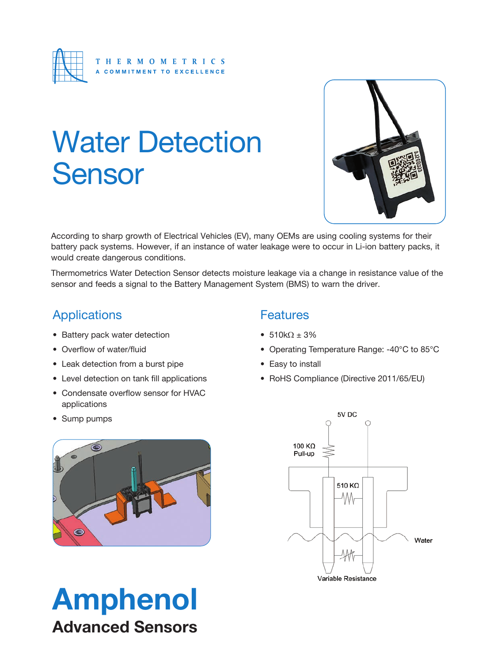

# Water Detection Sensor



According to sharp growth of Electrical Vehicles (EV), many OEMs are using cooling systems for their battery pack systems. However, if an instance of water leakage were to occur in Li-ion battery packs, it would create dangerous conditions.

Thermometrics Water Detection Sensor detects moisture leakage via a change in resistance value of the sensor and feeds a signal to the Battery Management System (BMS) to warn the driver.

### Applications

- Battery pack water detection
- Overflow of water/fluid
- Leak detection from a burst pipe
- Level detection on tank fill applications
- Condensate overflow sensor for HVAC applications
- Sump pumps



- $510k\Omega \pm 3\%$
- Operating Temperature Range: -40°C to 85°C
- Easy to install
- RoHS Compliance (Directive 2011/65/EU)



Amphenol Advanced Sensors

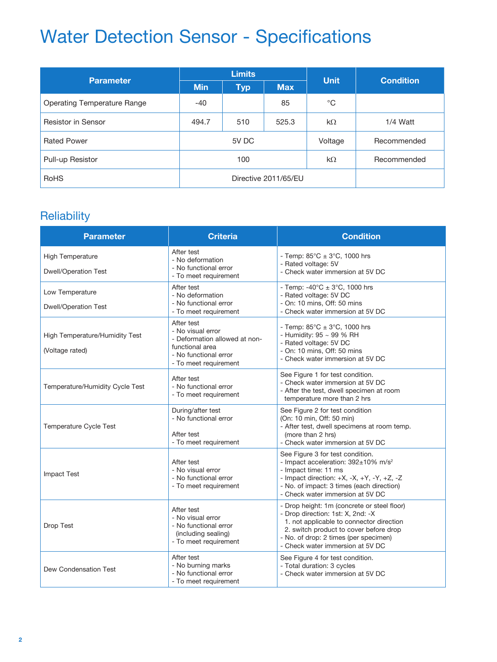| <b>Parameter</b>            | <b>Limits</b>        |            |            |              | <b>Condition</b> |
|-----------------------------|----------------------|------------|------------|--------------|------------------|
|                             | <b>Min</b>           | <b>Typ</b> | <b>Max</b> | <b>Unit</b>  |                  |
| Operating Temperature Range | $-40$                |            | 85         | $^{\circ}$ C |                  |
| <b>Resistor in Sensor</b>   | 494.7                | 510        | 525.3      | $k\Omega$    | 1/4 Watt         |
| <b>Rated Power</b>          | 5V DC                |            | Voltage    | Recommended  |                  |
| Pull-up Resistor            | 100                  |            | $k\Omega$  | Recommended  |                  |
| <b>RoHS</b>                 | Directive 2011/65/EU |            |            |              |                  |

### **Reliability**

| <b>Parameter</b>                                       | <b>Criteria</b>                                                                                                                       | <b>Condition</b>                                                                                                                                                                                                                                    |  |
|--------------------------------------------------------|---------------------------------------------------------------------------------------------------------------------------------------|-----------------------------------------------------------------------------------------------------------------------------------------------------------------------------------------------------------------------------------------------------|--|
| <b>High Temperature</b><br><b>Dwell/Operation Test</b> | After test<br>- No deformation<br>- No functional error<br>- To meet requirement                                                      | - Temp: $85^{\circ}$ C ± 3 $^{\circ}$ C, 1000 hrs<br>- Rated voltage: 5V<br>- Check water immersion at 5V DC                                                                                                                                        |  |
| Low Temperature<br><b>Dwell/Operation Test</b>         | After test<br>- No deformation<br>- No functional error<br>- To meet requirement                                                      | - Temp: -40°C $\pm$ 3°C, 1000 hrs<br>- Rated voltage: 5V DC<br>- On: 10 mins, Off: 50 mins<br>- Check water immersion at 5V DC                                                                                                                      |  |
| High Temperature/Humidity Test<br>(Voltage rated)      | After test<br>- No visual error<br>- Deformation allowed at non-<br>functional area<br>- No functional error<br>- To meet requirement | - Temp: $85^{\circ}$ C $\pm$ 3 $^{\circ}$ C, 1000 hrs<br>- Humidity: 95 ~ 99 % RH<br>- Rated voltage: 5V DC<br>- On: 10 mins, Off: 50 mins<br>- Check water immersion at 5V DC                                                                      |  |
| Temperature/Humidity Cycle Test                        | After test<br>- No functional error<br>- To meet requirement                                                                          | See Figure 1 for test condition.<br>- Check water immersion at 5V DC<br>- After the test, dwell specimen at room<br>temperature more than 2 hrs                                                                                                     |  |
| <b>Temperature Cycle Test</b>                          | During/after test<br>- No functional error<br>After test<br>- To meet requirement                                                     | See Figure 2 for test condition<br>(On: 10 min, Off: 50 min)<br>- After test, dwell specimens at room temp.<br>(more than 2 hrs)<br>- Check water immersion at 5V DC                                                                                |  |
| <b>Impact Test</b>                                     | After test<br>- No visual error<br>- No functional error<br>- To meet requirement                                                     | See Figure 3 for test condition.<br>- Impact acceleration: 392±10% m/s <sup>2</sup><br>- Impact time: 11 ms<br>- Impact direction: +X, -X, +Y, -Y, +Z, -Z<br>- No. of impact: 3 times (each direction)<br>- Check water immersion at 5V DC          |  |
| Drop Test                                              | After test<br>- No visual error<br>- No functional error<br>(including sealing)<br>- To meet requirement                              | - Drop height: 1m (concrete or steel floor)<br>- Drop direction: 1st: X, 2nd: -X<br>1. not applicable to connector direction<br>2. switch product to cover before drop<br>- No. of drop: 2 times (per specimen)<br>- Check water immersion at 5V DC |  |
| Dew Condensation Test                                  | After test<br>- No burning marks<br>- No functional error<br>- To meet requirement                                                    | See Figure 4 for test condition.<br>- Total duration: 3 cycles<br>- Check water immersion at 5V DC                                                                                                                                                  |  |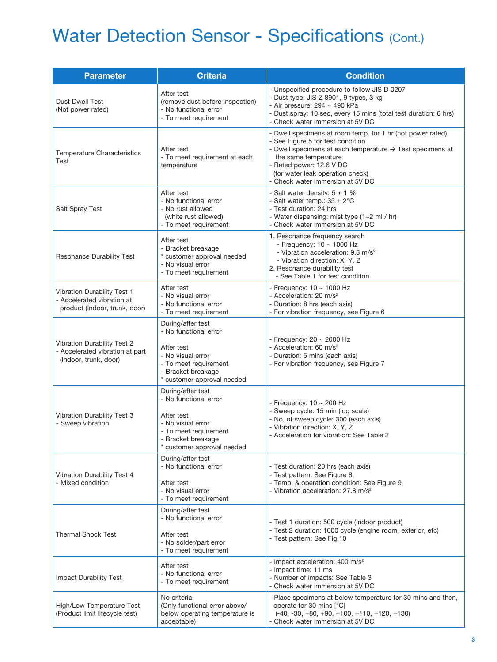| <b>Parameter</b>                                                                                                                         | <b>Criteria</b>                                                                                                                                            | <b>Condition</b>                                                                                                                                                                                                                                                                                     |  |  |
|------------------------------------------------------------------------------------------------------------------------------------------|------------------------------------------------------------------------------------------------------------------------------------------------------------|------------------------------------------------------------------------------------------------------------------------------------------------------------------------------------------------------------------------------------------------------------------------------------------------------|--|--|
| <b>Dust Dwell Test</b><br>(Not power rated)                                                                                              | After test<br>(remove dust before inspection)<br>- No functional error<br>- To meet requirement                                                            | - Unspecified procedure to follow JIS D 0207<br>- Dust type: JIS Z 8901, 9 types, 3 kg<br>- Air pressure: $294 \sim 490$ kPa<br>- Dust spray: 10 sec, every 15 mins (total test duration: 6 hrs)<br>- Check water immersion at 5V DC                                                                 |  |  |
| Temperature Characteristics<br>Test                                                                                                      | After test<br>- To meet requirement at each<br>temperature                                                                                                 | - Dwell specimens at room temp. for 1 hr (not power rated)<br>- See Figure 5 for test condition<br>- Dwell specimens at each temperature $\rightarrow$ Test specimens at<br>the same temperature<br>- Rated power: 12.6 V DC<br>(for water leak operation check)<br>- Check water immersion at 5V DC |  |  |
| Salt Spray Test                                                                                                                          | After test<br>- No functional error<br>- No rust allowed<br>(white rust allowed)<br>- To meet requirement                                                  | - Salt water density: $5 \pm 1$ %<br>- Salt water temp.: $35 \pm 2^{\circ}$ C<br>- Test duration: 24 hrs<br>- Water dispensing: mist type (1~2 ml / hr)<br>- Check water immersion at 5V DC                                                                                                          |  |  |
| Resonance Durability Test                                                                                                                | After test<br>- Bracket breakage<br>* customer approval needed<br>- No visual error<br>- To meet requirement                                               | 1. Resonance frequency search<br>- Frequency: $10 \sim 1000$ Hz<br>- Vibration acceleration: 9.8 m/s <sup>2</sup><br>- Vibration direction: X, Y, Z<br>2. Resonance durability test<br>- See Table 1 for test condition                                                                              |  |  |
| Vibration Durability Test 1<br>- Accelerated vibration at<br>product (Indoor, trunk, door)                                               | After test<br>- No visual error<br>- No functional error<br>- To meet requirement                                                                          | - Frequency: $10 \sim 1000$ Hz<br>- Acceleration: 20 m/s <sup>2</sup><br>- Duration: 8 hrs (each axis)<br>- For vibration frequency, see Figure 6                                                                                                                                                    |  |  |
| Vibration Durability Test 2<br>- Accelerated vibration at part<br>(Indoor, trunk, door)                                                  | During/after test<br>- No functional error<br>After test<br>- No visual error<br>- To meet requirement<br>- Bracket breakage<br>* customer approval needed | - Frequency: $20 \sim 2000$ Hz<br>- Acceleration: 60 m/s <sup>2</sup><br>- Duration: 5 mins (each axis)<br>- For vibration frequency, see Figure 7                                                                                                                                                   |  |  |
| Vibration Durability Test 3<br>- Sweep vibration                                                                                         | During/after test<br>- No functional error<br>After test<br>- No visual error<br>- To meet requirement<br>- Bracket breakage<br>* customer approval needed | - Frequency: $10 \sim 200$ Hz<br>- Sweep cycle: 15 min (log scale)<br>- No. of sweep cycle: 300 (each axis)<br>- Vibration direction: X, Y, Z<br>- Acceleration for vibration: See Table 2                                                                                                           |  |  |
| Vibration Durability Test 4<br>- Mixed condition                                                                                         | During/after test<br>- No functional error<br>After test<br>- No visual error<br>- To meet requirement                                                     | - Test duration: 20 hrs (each axis)<br>- Test pattern: See Figure 8.<br>- Temp. & operation condition: See Figure 9<br>- Vibration acceleration: 27.8 m/s <sup>2</sup>                                                                                                                               |  |  |
| During/after test<br>- No functional error<br><b>Thermal Shock Test</b><br>After test<br>- No solder/part error<br>- To meet requirement |                                                                                                                                                            | - Test 1 duration: 500 cycle (Indoor product)<br>- Test 2 duration: 1000 cycle (engine room, exterior, etc)<br>- Test pattern: See Fig.10                                                                                                                                                            |  |  |
| Impact Durability Test                                                                                                                   | After test<br>- No functional error<br>- To meet requirement                                                                                               | - Impact acceleration: 400 m/s <sup>2</sup><br>- Impact time: 11 ms<br>- Number of impacts: See Table 3<br>- Check water immersion at 5V DC                                                                                                                                                          |  |  |
| High/Low Temperature Test<br>(Product limit lifecycle test)                                                                              | No criteria<br>(Only functional error above/<br>below operating temperature is<br>acceptable)                                                              | - Place specimens at below temperature for 30 mins and then,<br>operate for 30 mins [°C]<br>$(-40, -30, +80, +90, +100, +110, +120, +130)$<br>- Check water immersion at 5V DC                                                                                                                       |  |  |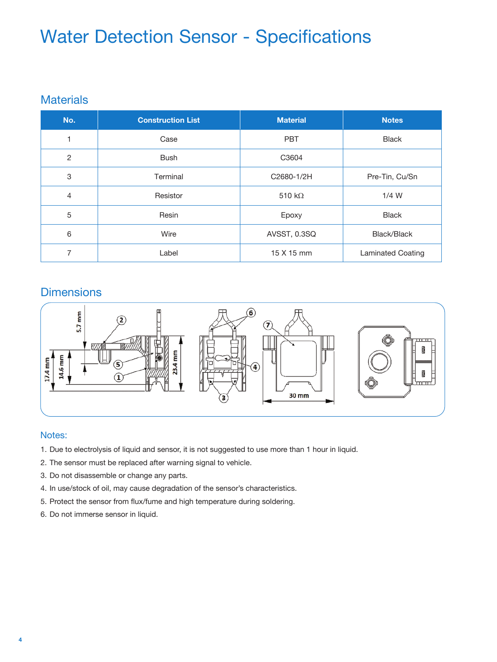#### **Materials**

| No.            | <b>Construction List</b> | <b>Material</b> | <b>Notes</b>      |
|----------------|--------------------------|-----------------|-------------------|
|                | Case                     | <b>PBT</b>      | <b>Black</b>      |
| $\overline{2}$ | <b>Bush</b>              | C3604           |                   |
| 3              | Terminal                 | C2680-1/2H      | Pre-Tin, Cu/Sn    |
| 4              | Resistor                 | 510 k $\Omega$  | $1/4$ W           |
| 5              | Resin                    | Epoxy           | <b>Black</b>      |
| 6              | Wire                     | AVSST, 0.3SQ    | Black/Black       |
| 7              | Label                    | 15 X 15 mm      | Laminated Coating |

#### **Dimensions**



#### Notes:

- 1. Due to electrolysis of liquid and sensor, it is not suggested to use more than 1 hour in liquid.
- 2. The sensor must be replaced after warning signal to vehicle.
- 3. Do not disassemble or change any parts.
- 4. In use/stock of oil, may cause degradation of the sensor's characteristics.
- 5. Protect the sensor from flux/fume and high temperature during soldering.
- 6. Do not immerse sensor in liquid.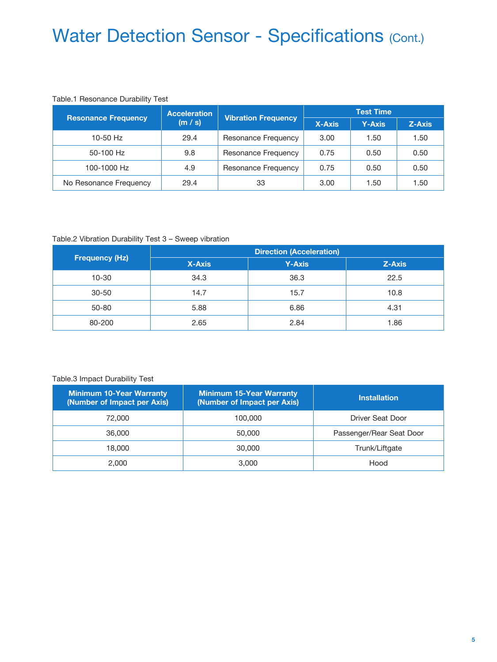#### Table.1 Resonance Durability Test

| <b>Resonance Frequency</b> | <b>Acceleration</b>   |                            | <b>Test Time</b> |               |        |
|----------------------------|-----------------------|----------------------------|------------------|---------------|--------|
|                            | '(m / s) <sub>i</sub> | <b>Vibration Frequency</b> | <b>X-Axis</b>    | <b>Y-Axis</b> | Z-Axis |
| $10-50$ Hz                 | 29.4                  | Resonance Frequency        | 3.00             | 1.50          | 1.50   |
| 50-100 Hz                  | 9.8                   | Resonance Frequency        | 0.75             | 0.50          | 0.50   |
| 100-1000 Hz                | 4.9                   | Resonance Frequency        | 0.75             | 0.50          | 0.50   |
| No Resonance Frequency     | 29.4                  | 33                         | 3.00             | 1.50          | 1.50   |

#### Table.2 Vibration Durability Test 3 – Sweep vibration

|                       | <b>Direction (Acceleration)</b> |               |        |  |
|-----------------------|---------------------------------|---------------|--------|--|
| <b>Frequency (Hz)</b> | <b>X-Axis</b>                   | <b>Y-Axis</b> | Z-Axis |  |
| 10-30                 | 34.3                            | 36.3          | 22.5   |  |
| $30 - 50$             | 14.7                            | 15.7          | 10.8   |  |
| $50 - 80$             | 5.88                            | 6.86          | 4.31   |  |
| 80-200                | 2.65                            | 2.84          | 1.86   |  |

#### Table.3 Impact Durability Test

| <b>Minimum 10-Year Warranty</b><br>(Number of Impact per Axis) | <b>Minimum 15-Year Warranty</b><br>(Number of Impact per Axis) | <b>Installation</b>      |
|----------------------------------------------------------------|----------------------------------------------------------------|--------------------------|
| 72,000                                                         | 100,000                                                        | Driver Seat Door         |
| 36,000                                                         | 50,000                                                         | Passenger/Rear Seat Door |
| 18,000                                                         | 30,000                                                         | Trunk/Liftgate           |
| 2.000                                                          | 3.000                                                          | Hood                     |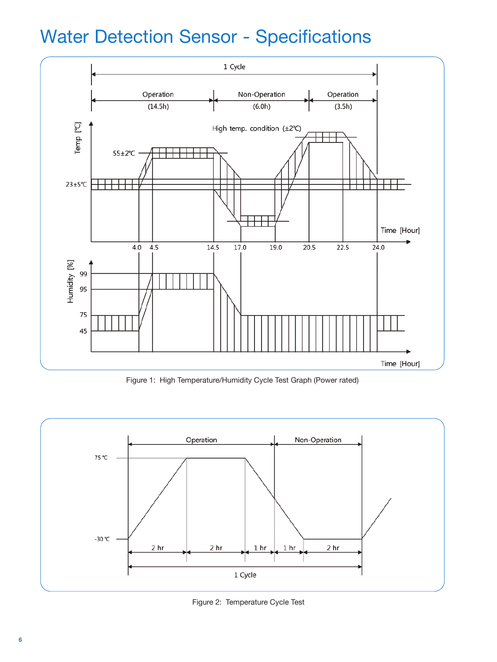

Figure 1: High Temperature/Humidity Cycle Test Graph (Power rated)



Figure 2: Temperature Cycle Test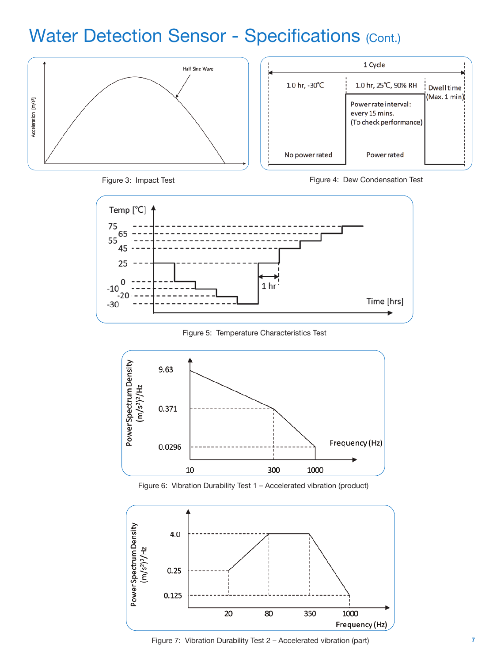

| 1 Cycle                 |                                                                  |               |
|-------------------------|------------------------------------------------------------------|---------------|
| 1.0 hr, $-30^{\circ}$ C | 1.0 hr, 25°C, 90% RH                                             | Dwell time    |
|                         | Power rate interval:<br>every 15 mins.<br>(To check performance) | (Max. 1 min); |
| No power rated          | <b>Power rated</b>                                               |               |



Figure 3: Impact Test Figure 4: Dew Condensation Test



Figure 5: Temperature Characteristics Test







Figure 7: Vibration Durability Test 2 – Accelerated vibration (part)